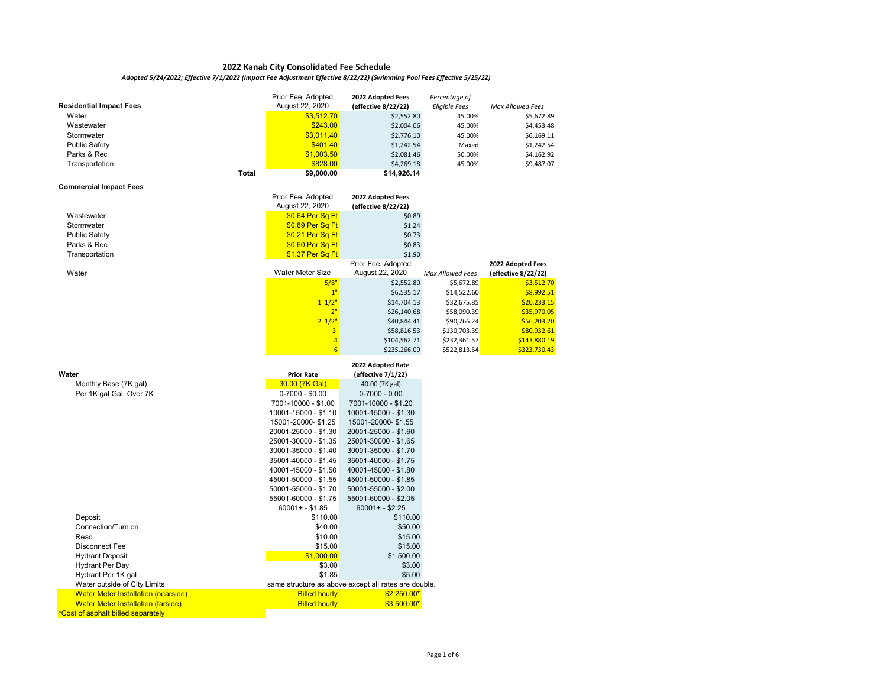# *Adopted 5/24/2022; Effective 7/1/2022 (Impact Fee Adjustment Effective 8/22/22) (Swimming Pool Fees Effective 5/25/22)*

|                                            |              | Prior Fee, Adopted                           | 2022 Adopted Fees                                                   | Percentage of        |                     |
|--------------------------------------------|--------------|----------------------------------------------|---------------------------------------------------------------------|----------------------|---------------------|
| <b>Residential Impact Fees</b>             |              | August 22, 2020                              | (effective 8/22/22)                                                 | <b>Eligible Fees</b> | Max Allowed Fees    |
| Water                                      |              | \$3,512.70                                   | \$2,552.80                                                          | 45.00%               | \$5,672.89          |
| Wastewater                                 |              | \$243.00                                     | \$2,004.06                                                          | 45.00%               | \$4,453.48          |
| Stormwater                                 |              | \$3,011.40                                   | \$2,776.10                                                          | 45.00%               | \$6,169.11          |
| <b>Public Safety</b>                       |              | \$401.40                                     | \$1,242.54                                                          | Maxed                | \$1,242.54          |
| Parks & Rec                                |              | \$1,003.50                                   | \$2,081.46                                                          | 50.00%               | \$4,162.92          |
| Transportation                             |              | \$828.00                                     | \$4,269.18                                                          | 45.00%               | \$9,487.07          |
|                                            | <b>Total</b> | \$9,000.00                                   | \$14,926.14                                                         |                      |                     |
| <b>Commercial Impact Fees</b>              |              |                                              |                                                                     |                      |                     |
|                                            |              | Prior Fee, Adopted                           | 2022 Adopted Fees                                                   |                      |                     |
|                                            |              | August 22, 2020                              | (effective 8/22/22)                                                 |                      |                     |
| Wastewater                                 |              | \$0.64 Per Sq Ft                             | \$0.89                                                              |                      |                     |
| Stormwater                                 |              | \$0.89 Per Sq Ft                             | \$1.24                                                              |                      |                     |
| <b>Public Safety</b>                       |              | \$0.21 Per Sq Ft                             | \$0.73                                                              |                      |                     |
| Parks & Rec                                |              | \$0.60 Per Sq Ft                             | \$0.83                                                              |                      |                     |
| Transportation                             |              | \$1.37 Per Sq Ft                             | \$1.90                                                              |                      |                     |
|                                            |              |                                              | Prior Fee, Adopted                                                  |                      | 2022 Adopted Fees   |
| Water                                      |              | Water Meter Size                             | August 22, 2020                                                     | Max Allowed Fees     | (effective 8/22/22) |
|                                            |              | 5/8"                                         | \$2,552.80                                                          | \$5,672.89           | \$3,512.70          |
|                                            |              | 1"                                           | \$6,535.17                                                          | \$14,522.60          | \$8,992.51          |
|                                            |              | 11/2"                                        | \$14,704.13                                                         | \$32,675.85          | \$20,233.15         |
|                                            |              | 2 <sup>0</sup>                               | \$26,140.68                                                         | \$58,090.39          | \$35,970.05         |
|                                            |              | $2 \frac{1}{2}$                              | \$40,844.41                                                         | \$90,766.24          | \$56,203.20         |
|                                            |              | 3                                            | \$58,816.53                                                         | \$130,703.39         | \$80,932.61         |
|                                            |              | $\overline{4}$                               | \$104,562.71                                                        | \$232,361.57         | \$143,880.19        |
|                                            |              | $6\overline{6}$                              | \$235,266.09                                                        | \$522,813.54         | \$323,730.43        |
|                                            |              |                                              |                                                                     |                      |                     |
|                                            |              |                                              |                                                                     |                      |                     |
| Water                                      |              |                                              | 2022 Adopted Rate                                                   |                      |                     |
|                                            |              | <b>Prior Rate</b>                            | (effective 7/1/22)                                                  |                      |                     |
| Monthly Base (7K gal)                      |              | 30.00 (7K Gal)                               | 40.00 (7K gal)                                                      |                      |                     |
| Per 1K gal Gal. Over 7K                    |              | $0-7000 - $0.00$                             | $0-7000 - 0.00$                                                     |                      |                     |
|                                            |              | 7001-10000 - \$1.00<br>10001-15000 - \$1.10  | 7001-10000 - \$1.20<br>10001-15000 - \$1.30                         |                      |                     |
|                                            |              | 15001-20000-\$1.25                           | 15001-20000-\$1.55                                                  |                      |                     |
|                                            |              | 20001-25000 - \$1.30                         | 20001-25000 - \$1.60                                                |                      |                     |
|                                            |              |                                              |                                                                     |                      |                     |
|                                            |              | 25001-30000 - \$1.35<br>30001-35000 - \$1.40 | 25001-30000 - \$1.65<br>30001-35000 - \$1.70                        |                      |                     |
|                                            |              | 35001-40000 - \$1.45                         |                                                                     |                      |                     |
|                                            |              |                                              | 35001-40000 - \$1.75                                                |                      |                     |
|                                            |              | 40001-45000 - \$1.50<br>45001-50000 - \$1.55 | 40001-45000 - \$1.80<br>45001-50000 - \$1.85                        |                      |                     |
|                                            |              | 50001-55000 - \$1.70                         | 50001-55000 - \$2.00                                                |                      |                     |
|                                            |              | 55001-60000 - \$1.75                         |                                                                     |                      |                     |
|                                            |              |                                              | 55001-60000 - \$2.05                                                |                      |                     |
| Deposit                                    |              | $60001 + - $1.85$<br>\$110.00                | $60001 + - $2.25$<br>\$110.00                                       |                      |                     |
| Connection/Turn on                         |              | \$40.00                                      | \$50.00                                                             |                      |                     |
| Read                                       |              |                                              |                                                                     |                      |                     |
| <b>Disconnect Fee</b>                      |              | \$10.00<br>\$15.00                           | \$15.00<br>\$15.00                                                  |                      |                     |
| <b>Hydrant Deposit</b>                     |              | \$1,000.00                                   | \$1,500.00                                                          |                      |                     |
| <b>Hydrant Per Day</b>                     |              | \$3.00                                       | \$3.00                                                              |                      |                     |
| Hydrant Per 1K gal                         |              | \$1.85                                       | \$5.00                                                              |                      |                     |
| Water outside of City Limits               |              |                                              |                                                                     |                      |                     |
| <b>Water Meter Installation (nearside)</b> |              | <b>Billed hourly</b>                         | same structure as above except all rates are double.<br>\$2,250.00* |                      |                     |
| <b>Water Meter Installation (farside)</b>  |              | <b>Billed hourly</b>                         | \$3,500.00*                                                         |                      |                     |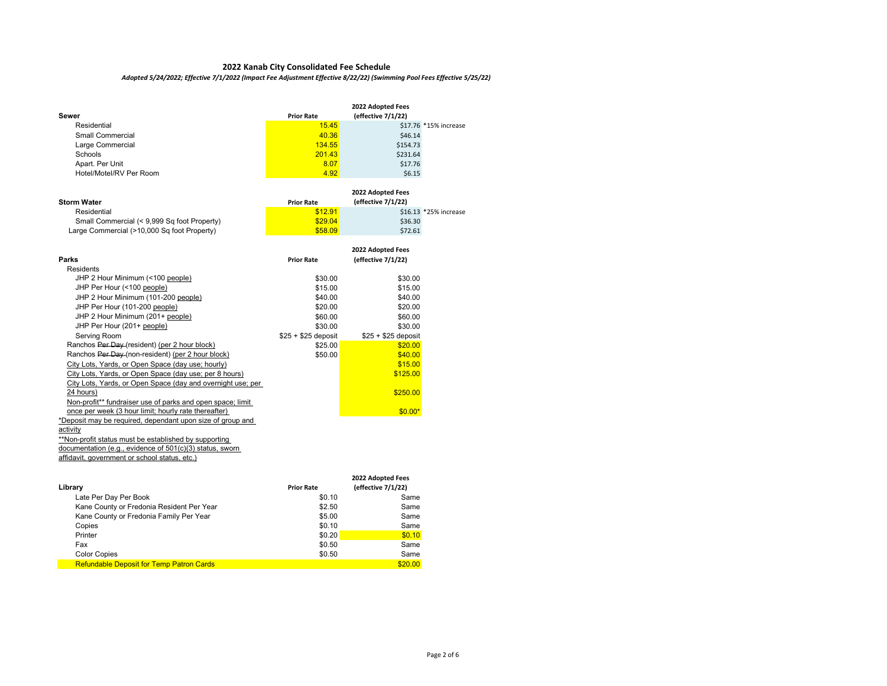# *Adopted 5/24/2022; Effective 7/1/2022 (Impact Fee Adjustment Effective 8/22/22) (Swimming Pool Fees Effective 5/25/22)*

| Sewer                   | <b>Prior Rate</b> | 2022 Adopted Fees<br>(effective 7/1/22) |  |
|-------------------------|-------------------|-----------------------------------------|--|
| Residential             | 15.45             | \$17.76 *15% increase                   |  |
| Small Commercial        | 40.36             | \$46.14                                 |  |
| Large Commercial        | 134.55            | \$154.73                                |  |
| Schools                 | 201.43            | \$231.64                                |  |
| Apart. Per Unit         | 8.07              | \$17.76                                 |  |
| Hotel/Motel/RV Per Room | 4.92              | \$6.15                                  |  |

|                                             | 2022 Adopted Fees                       |         |                       |  |
|---------------------------------------------|-----------------------------------------|---------|-----------------------|--|
| Storm Water                                 | (effective 7/1/22)<br><b>Prior Rate</b> |         |                       |  |
| Residential                                 | \$12.91                                 |         | \$16.13 *25% increase |  |
| Small Commercial (< 9,999 Sq foot Property) | \$29.04                                 | \$36.30 |                       |  |
| Large Commercial (>10,000 Sq foot Property) | \$58.09                                 | \$72.61 |                       |  |

|                                                             |                     | 2022 Adopted Fees   |
|-------------------------------------------------------------|---------------------|---------------------|
| Parks                                                       | <b>Prior Rate</b>   | (effective 7/1/22)  |
| Residents                                                   |                     |                     |
| JHP 2 Hour Minimum (<100 people)                            | \$30.00             | \$30.00             |
| JHP Per Hour (<100 people)                                  | \$15.00             | \$15.00             |
| JHP 2 Hour Minimum (101-200 people)                         | \$40.00             | \$40.00             |
| JHP Per Hour (101-200 people)                               | \$20.00             | \$20.00             |
| JHP 2 Hour Minimum (201+ people)                            | \$60.00             | \$60.00             |
| JHP Per Hour (201+ people)                                  | \$30.00             | \$30.00             |
| Serving Room                                                | $$25 + $25$ deposit | $$25 + $25$ deposit |
| Ranchos Per Day (resident) (per 2 hour block)               | \$25.00             | \$20.00             |
| Ranchos Per Day (non-resident) (per 2 hour block)           | \$50.00             | \$40.00             |
| City Lots, Yards, or Open Space (day use; hourly)           |                     | \$15.00             |
| City Lots, Yards, or Open Space (day use; per 8 hours)      |                     | \$125.00            |
| City Lots, Yards, or Open Space (day and overnight use; per |                     |                     |
| 24 hours)                                                   |                     | \$250.00            |
| Non-profit** fundraiser use of parks and open space; limit  |                     |                     |
| once per week (3 hour limit; hourly rate thereafter)        |                     | $$0.00*$            |
| *Deposit may be required, dependant upon size of group and  |                     |                     |
| activity                                                    |                     |                     |
| **Non-profit status must be established by supporting       |                     |                     |
| documentation (e.g., evidence of 501(c)(3) status, sworn    |                     |                     |

affidavit, government or school status, etc.)

|                                                 |                   | 2022 Adopted Fees  |
|-------------------------------------------------|-------------------|--------------------|
| Library                                         | <b>Prior Rate</b> | (effective 7/1/22) |
| Late Per Day Per Book                           | \$0.10            | Same               |
| Kane County or Fredonia Resident Per Year       | \$2.50            | Same               |
| Kane County or Fredonia Family Per Year         | \$5.00            | Same               |
| Copies                                          | \$0.10            | Same               |
| Printer                                         | \$0.20            | \$0.10             |
| Fax                                             | \$0.50            | Same               |
| <b>Color Copies</b>                             | \$0.50            | Same               |
| <b>Refundable Deposit for Temp Patron Cards</b> |                   | \$20.00            |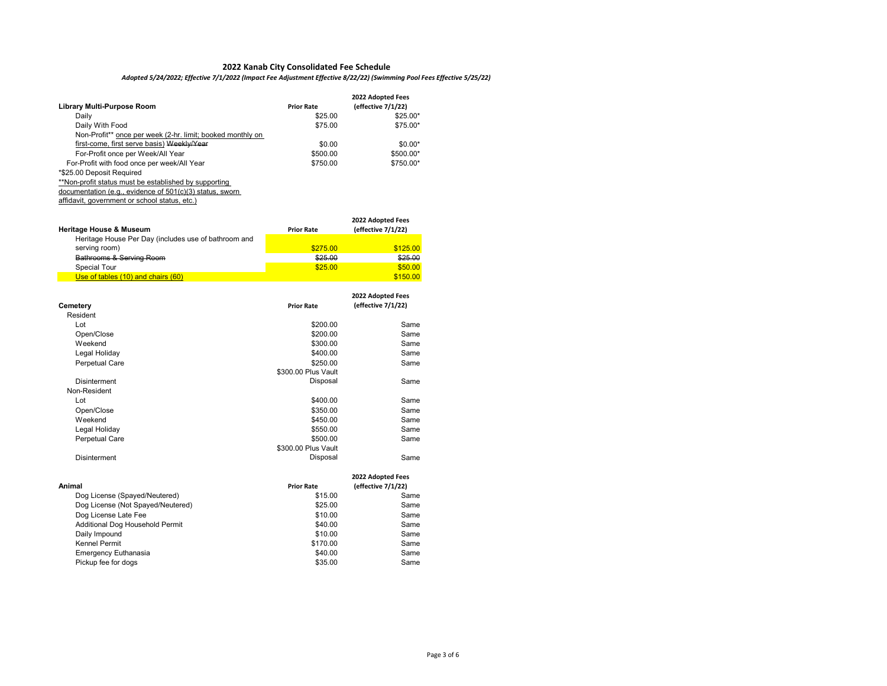# *Adopted 5/24/2022; Effective 7/1/2022 (Impact Fee Adjustment Effective 8/22/22) (Swimming Pool Fees Effective 5/25/22)*

|                                                            |                   | 2022 Adopted Fees  |
|------------------------------------------------------------|-------------------|--------------------|
| Library Multi-Purpose Room                                 | <b>Prior Rate</b> | (effective 7/1/22) |
| Daily                                                      | \$25.00           | $$25.00*$          |
| Daily With Food                                            | \$75.00           | $$75.00*$          |
| Non-Profit** once per week (2-hr. limit; booked monthly on |                   |                    |
| first-come, first serve basis) Weekly/Year                 | \$0.00            | $$0.00*$           |
| For-Profit once per Week/All Year                          | \$500.00          | \$500.00*          |
| For-Profit with food once per week/All Year                | \$750.00          | \$750.00*          |
| *\$25.00 Deposit Required                                  |                   |                    |
| **Non-profit status must be established by supporting      |                   |                    |
| documentation (e.g., evidence of 501(c)(3) status, sworn   |                   |                    |

affidavit, government or school status, etc.)

| <b>Heritage House &amp; Museum</b>                   | <b>Prior Rate</b> | 2022 Adopted Fees<br>(effective 7/1/22) |
|------------------------------------------------------|-------------------|-----------------------------------------|
| Heritage House Per Day (includes use of bathroom and |                   |                                         |
| serving room)                                        | \$275.00          | \$125.00                                |
| Bathrooms & Serving Room                             | \$25.00           | \$25.00                                 |
| Special Tour                                         | \$25.00           | \$50.00                                 |
| Use of tables (10) and chairs (60)                   |                   | \$150.00                                |

|                |                     | 2022 Adopted Fees  |
|----------------|---------------------|--------------------|
| Cemetery       | <b>Prior Rate</b>   | (effective 7/1/22) |
| Resident       |                     |                    |
| Lot            | \$200.00            | Same               |
| Open/Close     | \$200.00            | Same               |
| Weekend        | \$300.00            | Same               |
| Legal Holiday  | \$400.00            | Same               |
| Perpetual Care | \$250.00            | Same               |
|                | \$300.00 Plus Vault |                    |
| Disinterment   | Disposal            | Same               |
| Non-Resident   |                     |                    |
| Lot            | \$400.00            | Same               |
| Open/Close     | \$350.00            | Same               |
| Weekend        | \$450.00            | Same               |
| Legal Holiday  | \$550.00            | Same               |
| Perpetual Care | \$500.00            | Same               |
|                | \$300.00 Plus Vault |                    |
| Disinterment   | Disposal            | Same               |
|                |                     | 2022 Adopted Fees  |

|                                   |                   | ---------------    |
|-----------------------------------|-------------------|--------------------|
| Animal                            | <b>Prior Rate</b> | (effective 7/1/22) |
| Dog License (Spayed/Neutered)     | \$15.00           | Same               |
| Dog License (Not Spayed/Neutered) | \$25.00           | Same               |
| Dog License Late Fee              | \$10.00           | Same               |
| Additional Dog Household Permit   | \$40.00           | Same               |
| Daily Impound                     | \$10.00           | Same               |
| Kennel Permit                     | \$170.00          | Same               |
| Emergency Euthanasia              | \$40.00           | Same               |
| Pickup fee for dogs               | \$35.00           | Same               |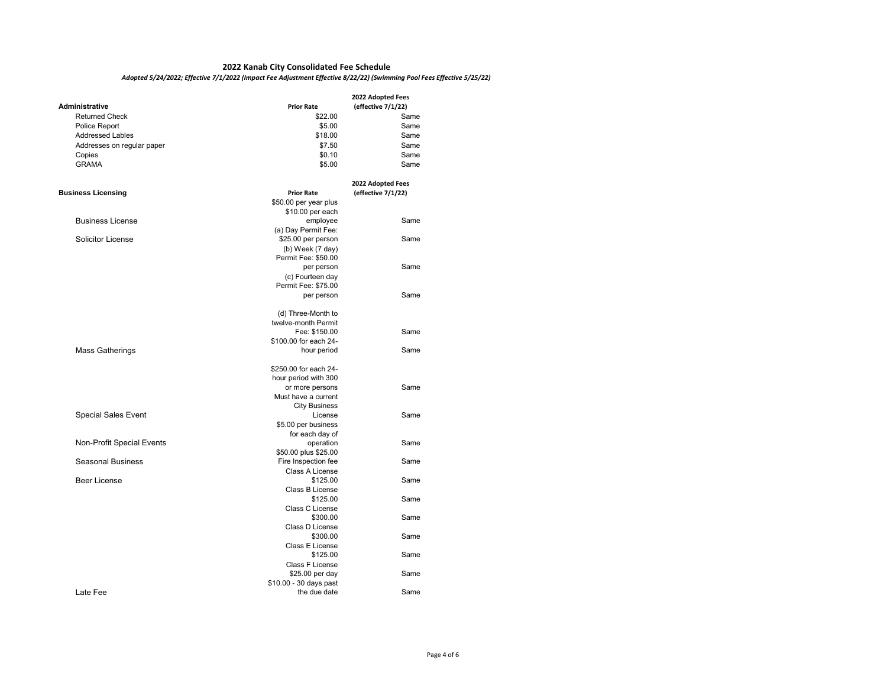# *Adopted 5/24/2022; Effective 7/1/2022 (Impact Fee Adjustment Effective 8/22/22) (Swimming Pool Fees Effective 5/25/22)*

| Administrative             | <b>Prior Rate</b>                      | 2022 Adopted Fees          |
|----------------------------|----------------------------------------|----------------------------|
| <b>Returned Check</b>      | \$22.00                                | (effective 7/1/22)<br>Same |
| Police Report              | \$5.00                                 | Same                       |
| <b>Addressed Lables</b>    | \$18.00                                | Same                       |
| Addresses on regular paper | \$7.50                                 | Same                       |
| Copies                     | \$0.10                                 | Same                       |
| <b>GRAMA</b>               | \$5.00                                 | Same                       |
|                            |                                        |                            |
|                            |                                        | 2022 Adopted Fees          |
| <b>Business Licensing</b>  | <b>Prior Rate</b>                      | (effective 7/1/22)         |
|                            | \$50.00 per year plus                  |                            |
|                            | \$10.00 per each                       |                            |
| <b>Business License</b>    | employee                               | Same                       |
|                            | (a) Day Permit Fee:                    |                            |
| <b>Solicitor License</b>   | \$25.00 per person                     | Same                       |
|                            | (b) Week (7 day)                       |                            |
|                            | Permit Fee: \$50.00<br>per person      | Same                       |
|                            | (c) Fourteen day                       |                            |
|                            | Permit Fee: \$75.00                    |                            |
|                            | per person                             | Same                       |
|                            |                                        |                            |
|                            | (d) Three-Month to                     |                            |
|                            | twelve-month Permit                    |                            |
|                            | Fee: \$150.00                          | Same                       |
|                            | \$100.00 for each 24-                  |                            |
| <b>Mass Gatherings</b>     | hour period                            | Same                       |
|                            | \$250.00 for each 24-                  |                            |
|                            | hour period with 300                   |                            |
|                            | or more persons                        | Same                       |
|                            | Must have a current                    |                            |
|                            | <b>City Business</b>                   |                            |
| <b>Special Sales Event</b> | License                                | Same                       |
|                            | \$5.00 per business                    |                            |
|                            | for each day of                        |                            |
| Non-Profit Special Events  | operation                              | Same                       |
|                            | \$50.00 plus \$25.00                   |                            |
| <b>Seasonal Business</b>   | Fire Inspection fee<br>Class A License | Same                       |
| <b>Beer License</b>        | \$125.00                               | Same                       |
|                            | Class B License                        |                            |
|                            | \$125.00                               | Same                       |
|                            | Class C License                        |                            |
|                            | \$300.00                               | Same                       |
|                            | Class D License                        |                            |
|                            | \$300.00                               | Same                       |
|                            | Class E License                        |                            |
|                            | \$125.00                               | Same                       |
|                            | Class F License                        |                            |
|                            | \$25.00 per day                        | Same                       |
|                            | \$10.00 - 30 days past                 |                            |
| Late Fee                   | the due date                           | Same                       |
|                            |                                        |                            |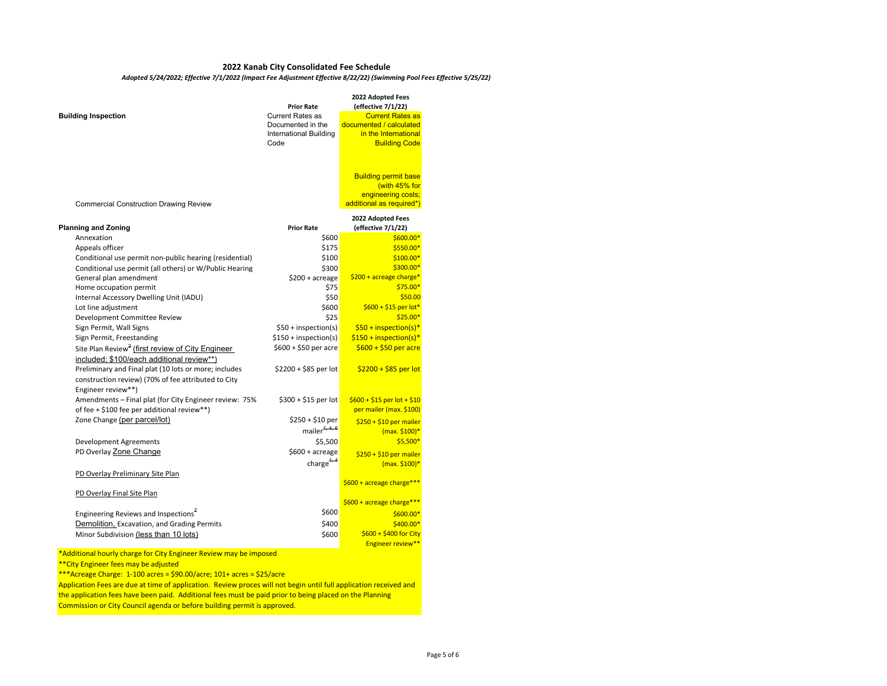### *Adopted 5/24/2022; Effective 7/1/2022 (Impact Fee Adjustment Effective 8/22/22) (Swimming Pool Fees Effective 5/25/22)*

|                                                              |                         | 2022 Adopted Fees               |
|--------------------------------------------------------------|-------------------------|---------------------------------|
|                                                              | <b>Prior Rate</b>       | (effective 7/1/22)              |
| <b>Building Inspection</b>                                   | <b>Current Rates as</b> | <b>Current Rates as</b>         |
|                                                              | Documented in the       | documented / calculated         |
|                                                              | International Building  | in the International            |
|                                                              | Code                    | <b>Building Code</b>            |
|                                                              |                         |                                 |
|                                                              |                         |                                 |
|                                                              |                         | <b>Building permit base</b>     |
|                                                              |                         | (with 45% for                   |
|                                                              |                         | engineering costs;              |
| <b>Commercial Construction Drawing Review</b>                |                         | additional as required*)        |
|                                                              |                         |                                 |
|                                                              |                         | 2022 Adopted Fees               |
| <b>Planning and Zoning</b>                                   | <b>Prior Rate</b>       | (effective 7/1/22)              |
| Annexation                                                   | \$600                   | \$600.00*                       |
| Appeals officer                                              | \$175                   | \$550.00*                       |
| Conditional use permit non-public hearing (residential)      | \$100                   | $$100.00*$                      |
| Conditional use permit (all others) or W/Public Hearing      | \$300                   | \$300.00*                       |
| General plan amendment                                       | $$200 + arcreage$       | $$200 + \text{acreage charge*}$ |
| Home occupation permit                                       | \$75                    | \$75.00*                        |
| Internal Accessory Dwelling Unit (IADU)                      | \$50                    | \$50.00                         |
| Lot line adjustment                                          | \$600                   | \$600 + \$15 per lot*           |
| Development Committee Review                                 | \$25                    | $$25.00*$                       |
| Sign Permit, Wall Signs                                      | $$50 + inspection(s)$   | $$50 + inspection(s)*$          |
| Sign Permit, Freestanding                                    | $$150 + inspection(s)$  | $$150 + inspection(s)*$         |
| Site Plan Review <sup>3</sup> (first review of City Engineer | \$600 + \$50 per acre   | $$600 + $50$ per acre           |
|                                                              |                         |                                 |
| included; \$100/each additional review**)                    |                         |                                 |
| Preliminary and Final plat (10 lots or more; includes        | \$2200 + \$85 per lot   | $$2200 + $85$ per lot           |
| construction review) (70% of fee attributed to City          |                         |                                 |
| Engineer review**)                                           |                         |                                 |
| Amendments - Final plat (for City Engineer review: 75%       | $$300 + $15$ per lot    | $$600 + $15$ per lot + \$10     |
| of fee + \$100 fee per additional review**)                  |                         | per mailer (max. \$100)         |
| Zone Change (per parcel/lot)                                 | $$250 + $10$ per        | $$250 + $10$ per mailer         |
|                                                              | mailer <sup>4,4,6</sup> | (max. \$100)*                   |
| <b>Development Agreements</b>                                | \$5,500                 | $$5,500*$                       |
| PD Overlay Zone Change                                       | \$600 + acreage         | $$250 + $10$ per mailer         |
|                                                              | charge $4,4$            | (max. \$100)*                   |
|                                                              |                         |                                 |
| PD Overlay Preliminary Site Plan                             |                         | \$600 + acreage charge***       |
|                                                              |                         |                                 |
| PD Overlay Final Site Plan                                   |                         |                                 |
|                                                              |                         | \$600 + acreage charge***       |
| Engineering Reviews and Inspections <sup>7</sup>             | \$600                   | \$600.00*                       |
| Demolition, Excavation, and Grading Permits                  | \$400                   | \$400.00*                       |
| Minor Subdivision (less than 10 lots)                        | \$600                   | \$600 + \$400 for City          |
|                                                              |                         | Engineer review**               |

\*Additional hourly charge for City Engineer Review may be imposed

\*\*City Engineer fees may be adjusted

\*\*\*Acreage Charge: 1-100 acres = \$90.00/acre; 101+ acres = \$25/acre

Application Fees are due at time of application. Review proces will not begin until full application received and the application fees have been paid. Additional fees must be paid prior to being placed on the Planning Commission or City Council agenda or before building permit is approved.